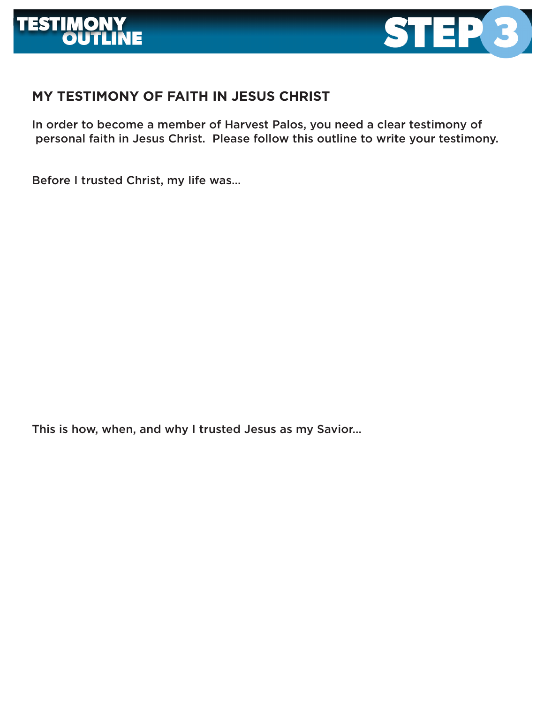



## **MY TESTIMONY OF FAITH IN JESUS CHRIST**

In order to become a member of Harvest Palos, you need a clear testimony of personal faith in Jesus Christ. Please follow this outline to write your testimony.

Before I trusted Christ, my life was…

This is how, when, and why I trusted Jesus as my Savior…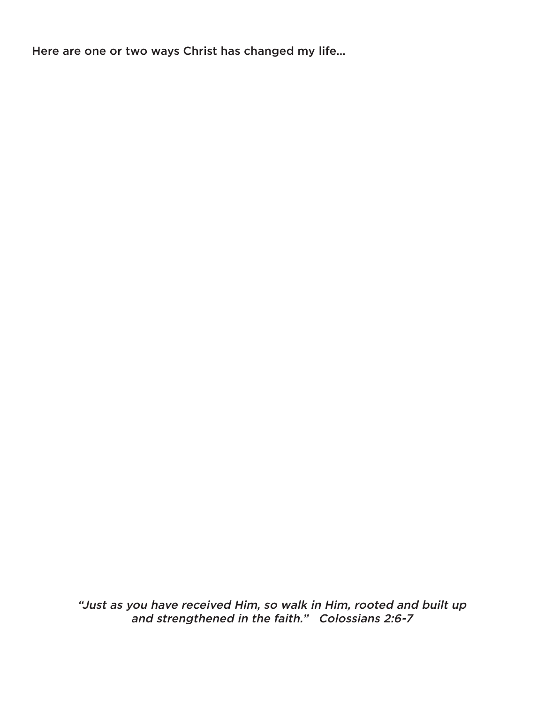Here are one or two ways Christ has changed my life…

"Just as you have received Him, so walk in Him, rooted and built up and strengthened in the faith." Colossians 2:6-7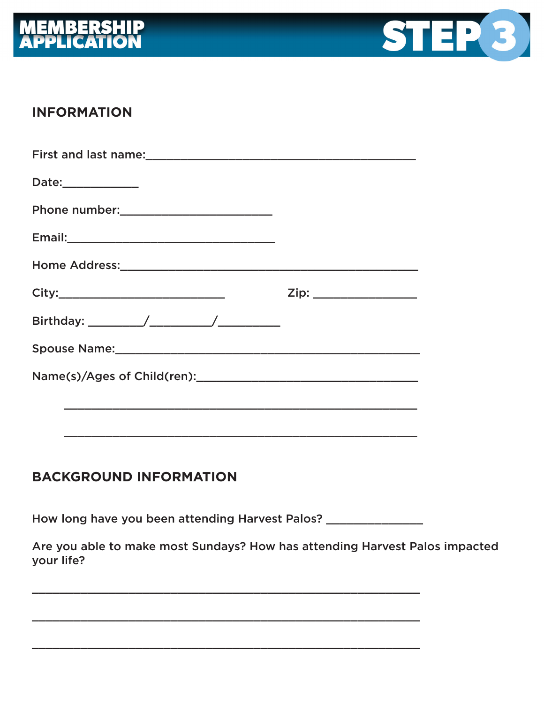



## **INFORMATION**

| Date:____________ |                      |
|-------------------|----------------------|
|                   |                      |
|                   |                      |
|                   |                      |
|                   | Zip: _______________ |
|                   |                      |
|                   |                      |
|                   |                      |
|                   |                      |
|                   |                      |

## **BACKGROUND INFORMATION**

How long have you been attending Harvest Palos? \_\_\_\_\_\_\_\_\_\_\_\_\_\_\_\_\_

Are you able to make most Sundays? How has attending Harvest Palos impacted your life?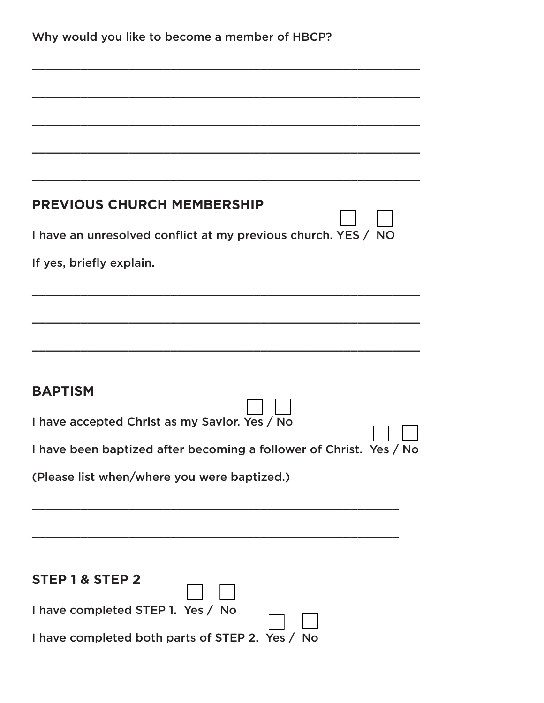| Why would you like to become a member of HBCP? |  |  |  |  |
|------------------------------------------------|--|--|--|--|
|------------------------------------------------|--|--|--|--|

| <b>PREVIOUS CHURCH MEMBERSHIP</b>                                  |
|--------------------------------------------------------------------|
| I have an unresolved conflict at my previous church. YES / NO      |
| If yes, briefly explain.                                           |
|                                                                    |
|                                                                    |
|                                                                    |
|                                                                    |
| <b>BAPTISM</b>                                                     |
| I have accepted Christ as my Savior. Yes / No                      |
| I have been baptized after becoming a follower of Christ. Yes / No |
|                                                                    |
| (Please list when/where you were baptized.)                        |
|                                                                    |
|                                                                    |
|                                                                    |
| STEP 1 & STEP 2                                                    |
| I have completed STEP 1. Yes / No                                  |
| I have completed both parts of STEP 2. Yes / No                    |